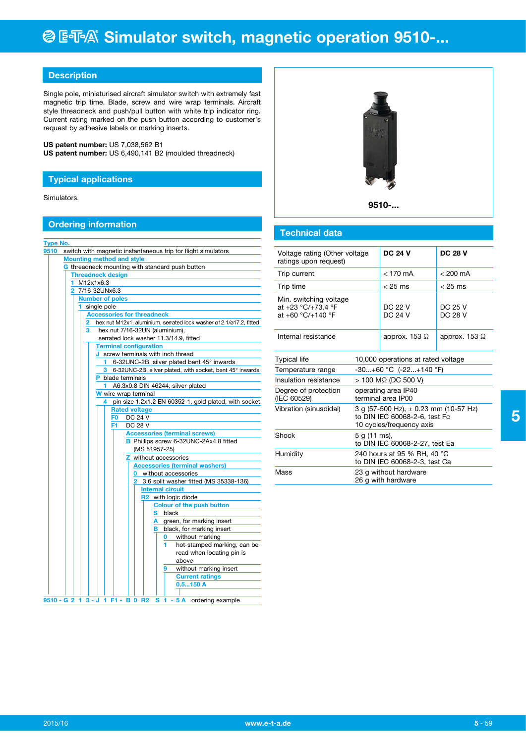# **@ ESA® Simulator switch, magnetic operation 9510-...**

# **Description**

Single pole, miniaturised aircraft simulator switch with extremely fast magnetic trip time. Blade, screw and wire wrap terminals. Aircraft style threadneck and push/pull button with white trip indicator ring. Current rating marked on the push button according to customer's request by adhesive labels or marking inserts.

**US patent number:** US 7,038,562 B1 **US patent number:** US 6,490,141 B2 (moulded threadneck)

## **Typical applications**

Simulators.

### **Ordering information**

| <b>Type No.</b>                                 |                                                                                |  |  |  |  |  |
|-------------------------------------------------|--------------------------------------------------------------------------------|--|--|--|--|--|
| 9510                                            | switch with magnetic instantaneous trip for flight simulators                  |  |  |  |  |  |
|                                                 | <b>Mounting method and style</b>                                               |  |  |  |  |  |
|                                                 | G threadneck mounting with standard push button                                |  |  |  |  |  |
|                                                 | <b>Threadneck design</b>                                                       |  |  |  |  |  |
|                                                 | M12x1x6.3<br>1.                                                                |  |  |  |  |  |
|                                                 | 2 7/16-32UNx6.3                                                                |  |  |  |  |  |
|                                                 | <b>Number of poles</b>                                                         |  |  |  |  |  |
|                                                 | single pole<br>1                                                               |  |  |  |  |  |
|                                                 | <b>Accessories for threadneck</b>                                              |  |  |  |  |  |
|                                                 | hex nut M12x1, aluminium, serrated lock washer ø12.1/ø17.2, fitted<br>2        |  |  |  |  |  |
|                                                 | 3<br>hex nut 7/16-32UN (aluminium),                                            |  |  |  |  |  |
|                                                 | serrated lock washer 11.3/14.9, fitted                                         |  |  |  |  |  |
|                                                 | <b>Terminal configuration</b>                                                  |  |  |  |  |  |
|                                                 | J screw terminals with inch thread                                             |  |  |  |  |  |
| 6-32UNC-2B, silver plated bent 45° inwards<br>1 |                                                                                |  |  |  |  |  |
|                                                 | 6-32UNC-2B, silver plated, with socket, bent 45° inwards<br>3                  |  |  |  |  |  |
|                                                 | <b>P</b> blade terminals                                                       |  |  |  |  |  |
|                                                 | A6.3x0.8 DIN 46244, silver plated<br>1.                                        |  |  |  |  |  |
|                                                 | W wire wrap terminal                                                           |  |  |  |  |  |
|                                                 | pin size 1.2x1.2 EN 60352-1, gold plated, with socket<br>4                     |  |  |  |  |  |
|                                                 | <b>Rated voltage</b><br><b>DC 24 V</b><br>F <sub>0</sub>                       |  |  |  |  |  |
|                                                 | F1<br>DC 28 V                                                                  |  |  |  |  |  |
|                                                 |                                                                                |  |  |  |  |  |
|                                                 | <b>Accessories (terminal screws)</b><br>B Phillips screw 6-32UNC-2Ax4.8 fitted |  |  |  |  |  |
|                                                 | (MS 51957-25)                                                                  |  |  |  |  |  |
|                                                 | Z without accessories                                                          |  |  |  |  |  |
|                                                 | <b>Accessories (terminal washers)</b>                                          |  |  |  |  |  |
|                                                 | <b>0</b> without accessories                                                   |  |  |  |  |  |
|                                                 | 2 3.6 split washer fitted (MS 35338-136)                                       |  |  |  |  |  |
|                                                 | <b>Internal circuit</b>                                                        |  |  |  |  |  |
|                                                 | R <sub>2</sub> with logic diode                                                |  |  |  |  |  |
|                                                 | <b>Colour of the push button</b>                                               |  |  |  |  |  |
|                                                 | S black                                                                        |  |  |  |  |  |
|                                                 | A green, for marking insert                                                    |  |  |  |  |  |
|                                                 | <b>B</b> black, for marking insert                                             |  |  |  |  |  |
|                                                 | without marking<br>0                                                           |  |  |  |  |  |
|                                                 | 1<br>hot-stamped marking, can be                                               |  |  |  |  |  |
|                                                 | read when locating pin is                                                      |  |  |  |  |  |
|                                                 | above                                                                          |  |  |  |  |  |
|                                                 | without marking insert<br>9                                                    |  |  |  |  |  |
|                                                 | <b>Current ratings</b>                                                         |  |  |  |  |  |
|                                                 | 0.5150A                                                                        |  |  |  |  |  |
|                                                 |                                                                                |  |  |  |  |  |
|                                                 | 9510 - G 2 1 3 - J 1 F1 - B 0 R2<br>S 1 - 5 A ordering example                 |  |  |  |  |  |



**9510-...**

# **Technical data**

| Voltage rating (Other voltage<br>ratings upon request)            |                                                              | <b>DC 24 V</b>                                                                                         | <b>DC 28 V</b>            |
|-------------------------------------------------------------------|--------------------------------------------------------------|--------------------------------------------------------------------------------------------------------|---------------------------|
| Trip current                                                      |                                                              | $<$ 170 mA                                                                                             | $< 200 \text{ mA}$        |
| Trip time                                                         |                                                              | $<$ 25 ms                                                                                              | $<$ 25 ms                 |
| Min. switching voltage<br>at +23 °C/+73.4 °F<br>at +60 °C/+140 °F |                                                              | DC 22 V<br><b>DC 24 V</b>                                                                              | DC 25 V<br><b>DC 28 V</b> |
| Internal resistance                                               |                                                              | approx. 153 $\Omega$                                                                                   | approx. 153 $\Omega$      |
| Typical life                                                      | 10,000 operations at rated voltage                           |                                                                                                        |                           |
| Temperature range                                                 | $-30+60$ °C $(-22+140$ °F)                                   |                                                                                                        |                           |
| Insulation resistance                                             |                                                              | $> 100$ M $\Omega$ (DC 500 V)                                                                          |                           |
| Degree of protection<br>(IEC 60529)                               |                                                              | operating area IP40<br>terminal area IP00                                                              |                           |
| Vibration (sinusoidal)                                            |                                                              | 3 g (57-500 Hz), $\pm$ 0.23 mm (10-57 Hz)<br>to DIN IEC 60068-2-6, test Fc<br>10 cycles/frequency axis |                           |
| Shock                                                             | 5 g (11 ms),<br>to DIN IEC 60068-2-27, test Ea               |                                                                                                        |                           |
| Humidity                                                          | 240 hours at 95 % RH, 40 °C<br>to DIN IEC 60068-2-3, test Ca |                                                                                                        |                           |
| Mass                                                              |                                                              | 23 g without hardware<br>26 g with hardware                                                            |                           |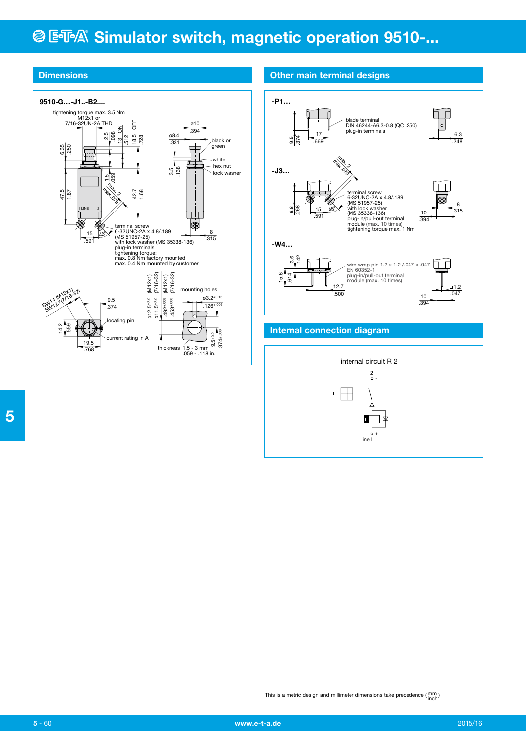# **@ ESPA® Simulator switch, magnetic operation 9510-...**



# **Dimensions Dimensions Other main terminal designs**



### **Internal connection diagram**





This is a metric design and millimeter dimensions take precedence  $(\frac{mm}{inoh})$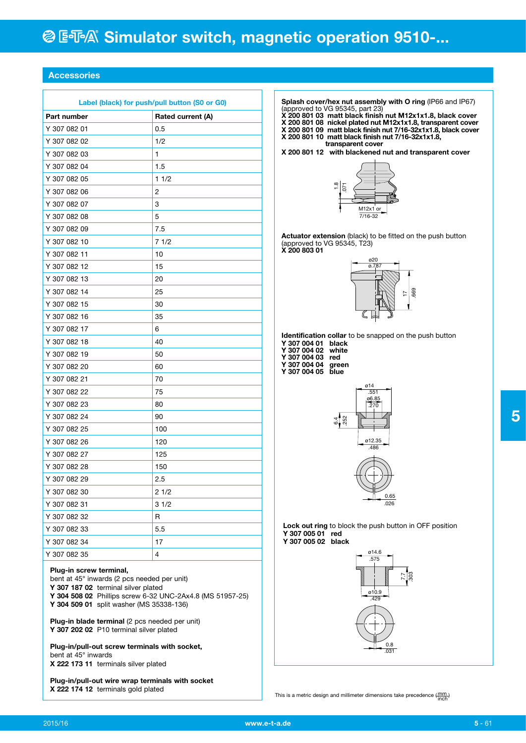## **Accessories**

| Label (black) for push/pull button (S0 or G0) |                   |  |  |  |  |
|-----------------------------------------------|-------------------|--|--|--|--|
| Part number                                   | Rated current (A) |  |  |  |  |
| Y 307 082 01                                  | 0.5               |  |  |  |  |
| Y 307 082 02                                  | 1/2               |  |  |  |  |
| Y 307 082 03                                  | 1                 |  |  |  |  |
| Y 307 082 04                                  | 1.5               |  |  |  |  |
| Y 307 082 05                                  | 11/2              |  |  |  |  |
| Y 307 082 06                                  | 2                 |  |  |  |  |
| Y 307 082 07                                  | 3                 |  |  |  |  |
| Y 307 082 08                                  | 5                 |  |  |  |  |
| Y 307 082 09                                  | 7.5               |  |  |  |  |
| Y 307 082 10                                  | 71/2              |  |  |  |  |
| Y 307 082 11                                  | 10                |  |  |  |  |
| Y 307 082 12                                  | 15                |  |  |  |  |
| Y 307 082 13                                  | 20                |  |  |  |  |
| Y 307 082 14                                  | 25                |  |  |  |  |
| Y 307 082 15                                  | 30                |  |  |  |  |
| Y 307 082 16                                  | 35                |  |  |  |  |
| Y 307 082 17                                  | 6                 |  |  |  |  |
| Y 307 082 18                                  | 40                |  |  |  |  |
| Y 307 082 19                                  | 50                |  |  |  |  |
| Y 307 082 20                                  | 60                |  |  |  |  |
| Y 307 082 21                                  | 70                |  |  |  |  |
| Y 307 082 22                                  | 75                |  |  |  |  |
| Y 307 082 23                                  | 80                |  |  |  |  |
| Y 307 082 24                                  | 90                |  |  |  |  |
| Y 307 082 25                                  | 100               |  |  |  |  |
| Y 307 082 26                                  | 120               |  |  |  |  |
| Y 307 082 27                                  | 125               |  |  |  |  |
| Y 307 082 28                                  | 150               |  |  |  |  |
| Y 307 082 29                                  | 2.5               |  |  |  |  |
| Y 307 082 30                                  | 21/2              |  |  |  |  |
| Y 307 082 31                                  | 31/2              |  |  |  |  |
| Y 307 082 32                                  | R                 |  |  |  |  |
| Y 307 082 33                                  | 5.5               |  |  |  |  |
| Y 307 082 34                                  | 17                |  |  |  |  |
| Y 307 082 35                                  | 4                 |  |  |  |  |
|                                               |                   |  |  |  |  |

**Splash cover/hex nut assembly with O ring** (IP66 and IP67) (approved to VG 95345, part 23)

- **X 200 801 03 matt black finish nut M12x1x1.8, black cover X 200 801 08 nickel plated nut M12x1x1.8, transparent cover X 200 801 09 matt black finish nut 7/16-32x1x1.8, black cover X 200 801 10 matt black finish nut 7/16-32x1x1.8,**
- **transparent cover**

**X 200 801 12 with blackened nut and transparent cover**



**Actuator extension** (black) to be fitted on the push button (approved to VG 95345, T23) **X 200 803 01** 



**Identification collar** to be snapped on the push button

- **Y 307 004 01 black Y 307 004 02 white**
- **Y 307 004 03 red Y 307 004 04 green**
- **Y 307 004 05 blue**



0.65 .026

**Lock out ring** to block the push button in OFF position **Y 307 005 01 red Y 307 005 02 black**



This is a metric design and millimeter dimensions take precedence  $(\frac{mm}{inoh})$ 

**Plug-in screw terminal,**  bent at 45° inwards (2 pcs needed per unit)

**Y 307 187 02** terminal silver plated

**Y 304 508 02** Phillips screw 6-32 UNC-2Ax4.8 (MS 51957-25) **Y 304 509 01** split washer (MS 35338-136)

**Plug-in blade terminal** (2 pcs needed per unit) **Y 307 202 02** P10 terminal silver plated

**Plug-in/pull-out screw terminals with socket,**  bent at 45° inwards **X 222 173 11** terminals silver plated

**Plug-in/pull-out wire wrap terminals with socket X 222 174 12** terminals gold plated